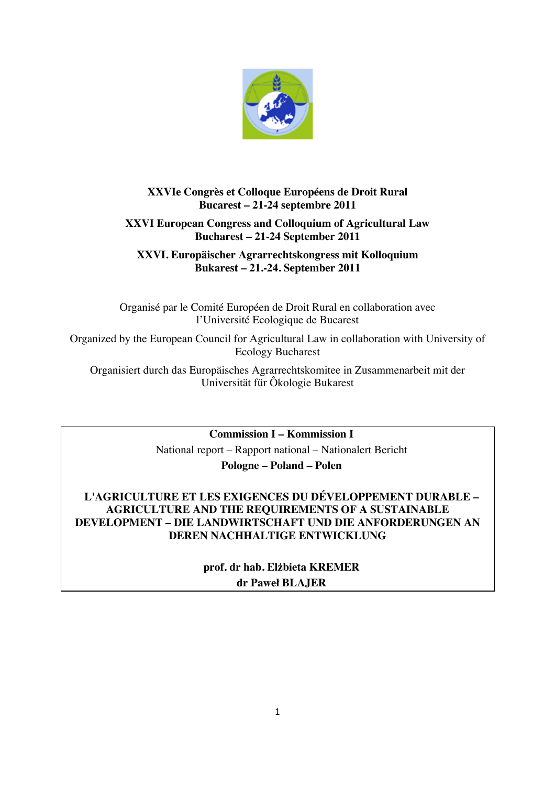

# **XXVIe Congrès et Colloque Européens de Droit Rural Bucarest – 21-24 septembre 2011**

# **XXVI European Congress and Colloquium of Agricultural Law Bucharest – 21-24 September 2011**

## **XXVI. Europäischer Agrarrechtskongress mit Kolloquium Bukarest – 21.-24. September 2011**

Organisé par le Comité Européen de Droit Rural en collaboration avec l'Université Ecologique de Bucarest

Organized by the European Council for Agricultural Law in collaboration with University of Ecology Bucharest

Organisiert durch das Europäisches Agrarrechtskomitee in Zusammenarbeit mit der Universität für Ôkologie Bukarest

> **Commission I – Kommission I** National report – Rapport national – Nationalert Bericht **Pologne – Poland – Polen**

## **L'AGRICULTURE ET LES EXIGENCES DU DÉVELOPPEMENT DURABLE – AGRICULTURE AND THE REQUIREMENTS OF A SUSTAINABLE DEVELOPMENT – DIE LANDWIRTSCHAFT UND DIE ANFORDERUNGEN AN DEREN NACHHALTIGE ENTWICKLUNG**

**prof. dr hab. Elżbieta KREMER dr Paweł BLAJER**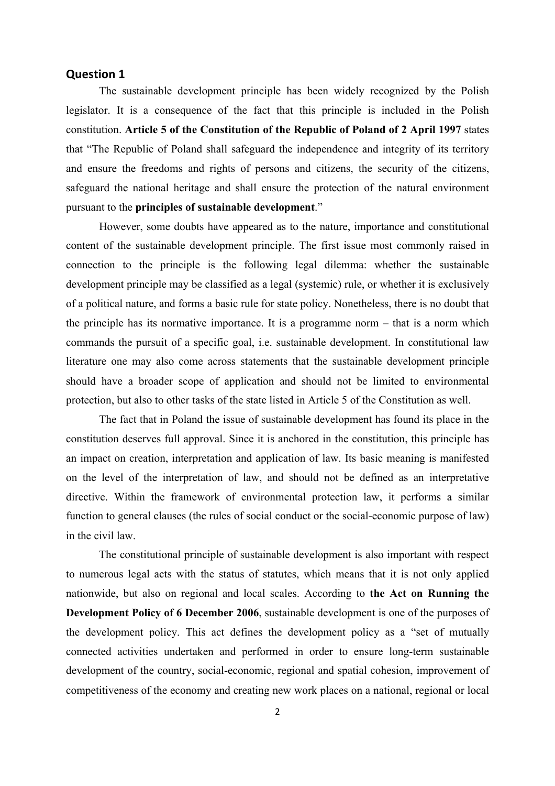### **Question 1**

The sustainable development principle has been widely recognized by the Polish legislator. It is a consequence of the fact that this principle is included in the Polish constitution. **Article 5 of the Constitution of the Republic of Poland of 2 April 1997** states that "The Republic of Poland shall safeguard the independence and integrity of its territory and ensure the freedoms and rights of persons and citizens, the security of the citizens, safeguard the national heritage and shall ensure the protection of the natural environment pursuant to the **principles of sustainable development**."

However, some doubts have appeared as to the nature, importance and constitutional content of the sustainable development principle. The first issue most commonly raised in connection to the principle is the following legal dilemma: whether the sustainable development principle may be classified as a legal (systemic) rule, or whether it is exclusively of a political nature, and forms a basic rule for state policy. Nonetheless, there is no doubt that the principle has its normative importance. It is a programme norm – that is a norm which commands the pursuit of a specific goal, i.e. sustainable development. In constitutional law literature one may also come across statements that the sustainable development principle should have a broader scope of application and should not be limited to environmental protection, but also to other tasks of the state listed in Article 5 of the Constitution as well.

The fact that in Poland the issue of sustainable development has found its place in the constitution deserves full approval. Since it is anchored in the constitution, this principle has an impact on creation, interpretation and application of law. Its basic meaning is manifested on the level of the interpretation of law, and should not be defined as an interpretative directive. Within the framework of environmental protection law, it performs a similar function to general clauses (the rules of social conduct or the social-economic purpose of law) in the civil law.

The constitutional principle of sustainable development is also important with respect to numerous legal acts with the status of statutes, which means that it is not only applied nationwide, but also on regional and local scales. According to **the Act on Running the Development Policy of 6 December 2006**, sustainable development is one of the purposes of the development policy. This act defines the development policy as a "set of mutually connected activities undertaken and performed in order to ensure long-term sustainable development of the country, social-economic, regional and spatial cohesion, improvement of competitiveness of the economy and creating new work places on a national, regional or local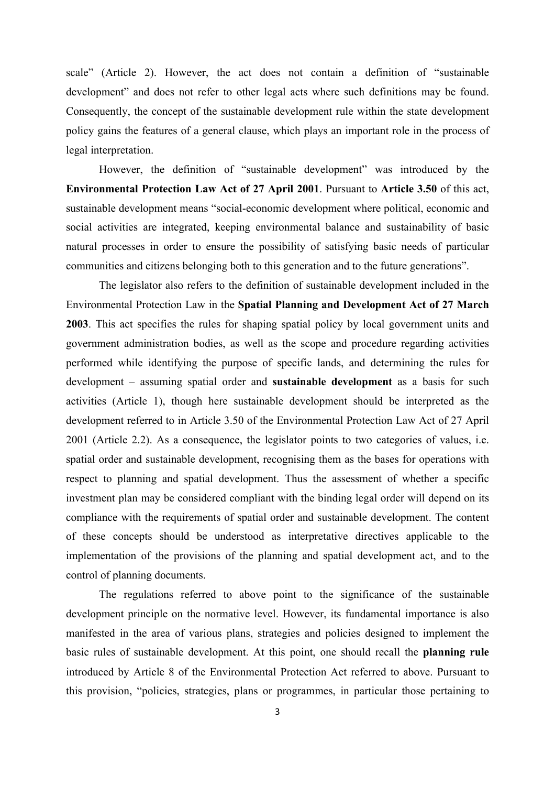scale" (Article 2). However, the act does not contain a definition of "sustainable development" and does not refer to other legal acts where such definitions may be found. Consequently, the concept of the sustainable development rule within the state development policy gains the features of a general clause, which plays an important role in the process of legal interpretation.

However, the definition of "sustainable development" was introduced by the **Environmental Protection Law Act of 27 April 2001**. Pursuant to **Article 3.50** of this act, sustainable development means "social-economic development where political, economic and social activities are integrated, keeping environmental balance and sustainability of basic natural processes in order to ensure the possibility of satisfying basic needs of particular communities and citizens belonging both to this generation and to the future generations".

The legislator also refers to the definition of sustainable development included in the Environmental Protection Law in the **Spatial Planning and Development Act of 27 March 2003**. This act specifies the rules for shaping spatial policy by local government units and government administration bodies, as well as the scope and procedure regarding activities performed while identifying the purpose of specific lands, and determining the rules for development – assuming spatial order and **sustainable development** as a basis for such activities (Article 1), though here sustainable development should be interpreted as the development referred to in Article 3.50 of the Environmental Protection Law Act of 27 April 2001 (Article 2.2). As a consequence, the legislator points to two categories of values, i.e. spatial order and sustainable development, recognising them as the bases for operations with respect to planning and spatial development. Thus the assessment of whether a specific investment plan may be considered compliant with the binding legal order will depend on its compliance with the requirements of spatial order and sustainable development. The content of these concepts should be understood as interpretative directives applicable to the implementation of the provisions of the planning and spatial development act, and to the control of planning documents.

The regulations referred to above point to the significance of the sustainable development principle on the normative level. However, its fundamental importance is also manifested in the area of various plans, strategies and policies designed to implement the basic rules of sustainable development. At this point, one should recall the **planning rule** introduced by Article 8 of the Environmental Protection Act referred to above. Pursuant to this provision, "policies, strategies, plans or programmes, in particular those pertaining to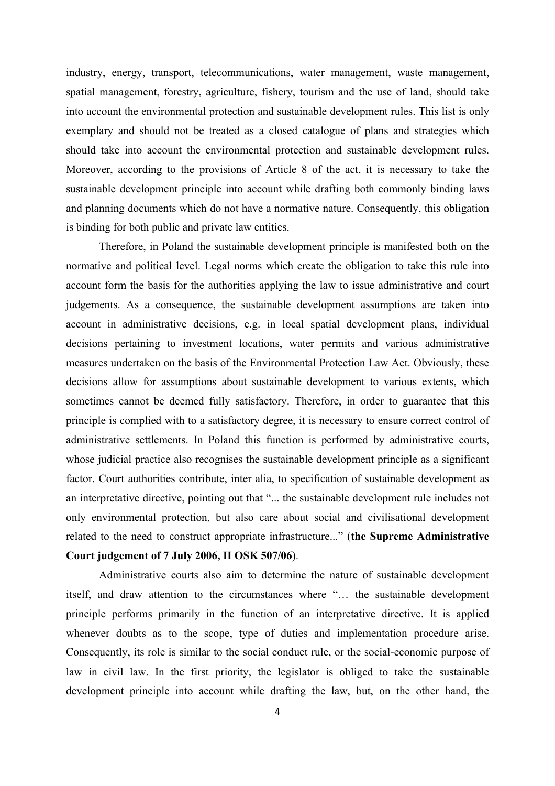industry, energy, transport, telecommunications, water management, waste management, spatial management, forestry, agriculture, fishery, tourism and the use of land, should take into account the environmental protection and sustainable development rules. This list is only exemplary and should not be treated as a closed catalogue of plans and strategies which should take into account the environmental protection and sustainable development rules. Moreover, according to the provisions of Article 8 of the act, it is necessary to take the sustainable development principle into account while drafting both commonly binding laws and planning documents which do not have a normative nature. Consequently, this obligation is binding for both public and private law entities.

Therefore, in Poland the sustainable development principle is manifested both on the normative and political level. Legal norms which create the obligation to take this rule into account form the basis for the authorities applying the law to issue administrative and court judgements. As a consequence, the sustainable development assumptions are taken into account in administrative decisions, e.g. in local spatial development plans, individual decisions pertaining to investment locations, water permits and various administrative measures undertaken on the basis of the Environmental Protection Law Act. Obviously, these decisions allow for assumptions about sustainable development to various extents, which sometimes cannot be deemed fully satisfactory. Therefore, in order to guarantee that this principle is complied with to a satisfactory degree, it is necessary to ensure correct control of administrative settlements. In Poland this function is performed by administrative courts, whose judicial practice also recognises the sustainable development principle as a significant factor. Court authorities contribute, inter alia, to specification of sustainable development as an interpretative directive, pointing out that "... the sustainable development rule includes not only environmental protection, but also care about social and civilisational development related to the need to construct appropriate infrastructure..." (**the Supreme Administrative Court judgement of 7 July 2006, II OSK 507/06**).

Administrative courts also aim to determine the nature of sustainable development itself, and draw attention to the circumstances where "… the sustainable development principle performs primarily in the function of an interpretative directive. It is applied whenever doubts as to the scope, type of duties and implementation procedure arise. Consequently, its role is similar to the social conduct rule, or the social-economic purpose of law in civil law. In the first priority, the legislator is obliged to take the sustainable development principle into account while drafting the law, but, on the other hand, the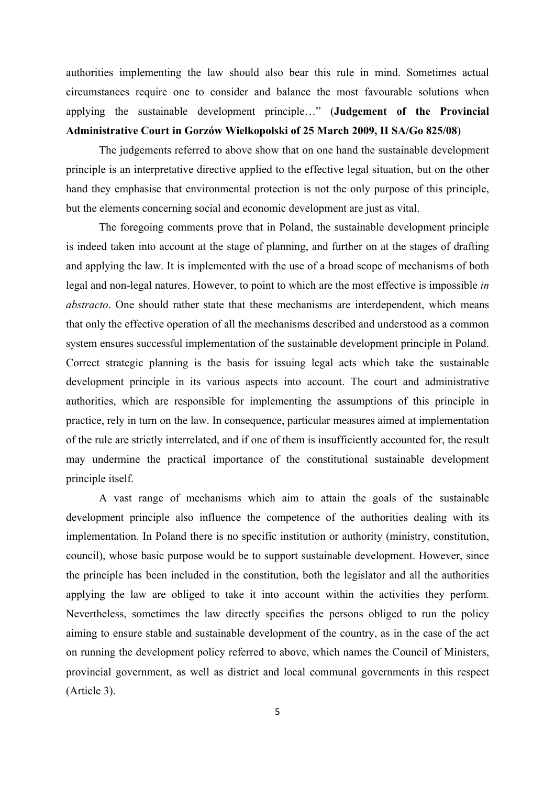authorities implementing the law should also bear this rule in mind. Sometimes actual circumstances require one to consider and balance the most favourable solutions when applying the sustainable development principle…" (**Judgement of the Provincial Administrative Court in Gorzów Wielkopolski of 25 March 2009, II SA/Go 825/08**)

The judgements referred to above show that on one hand the sustainable development principle is an interpretative directive applied to the effective legal situation, but on the other hand they emphasise that environmental protection is not the only purpose of this principle, but the elements concerning social and economic development are just as vital.

The foregoing comments prove that in Poland, the sustainable development principle is indeed taken into account at the stage of planning, and further on at the stages of drafting and applying the law. It is implemented with the use of a broad scope of mechanisms of both legal and non-legal natures. However, to point to which are the most effective is impossible *in abstracto*. One should rather state that these mechanisms are interdependent, which means that only the effective operation of all the mechanisms described and understood as a common system ensures successful implementation of the sustainable development principle in Poland. Correct strategic planning is the basis for issuing legal acts which take the sustainable development principle in its various aspects into account. The court and administrative authorities, which are responsible for implementing the assumptions of this principle in practice, rely in turn on the law. In consequence, particular measures aimed at implementation of the rule are strictly interrelated, and if one of them is insufficiently accounted for, the result may undermine the practical importance of the constitutional sustainable development principle itself.

A vast range of mechanisms which aim to attain the goals of the sustainable development principle also influence the competence of the authorities dealing with its implementation. In Poland there is no specific institution or authority (ministry, constitution, council), whose basic purpose would be to support sustainable development. However, since the principle has been included in the constitution, both the legislator and all the authorities applying the law are obliged to take it into account within the activities they perform. Nevertheless, sometimes the law directly specifies the persons obliged to run the policy aiming to ensure stable and sustainable development of the country, as in the case of the act on running the development policy referred to above, which names the Council of Ministers, provincial government, as well as district and local communal governments in this respect (Article 3).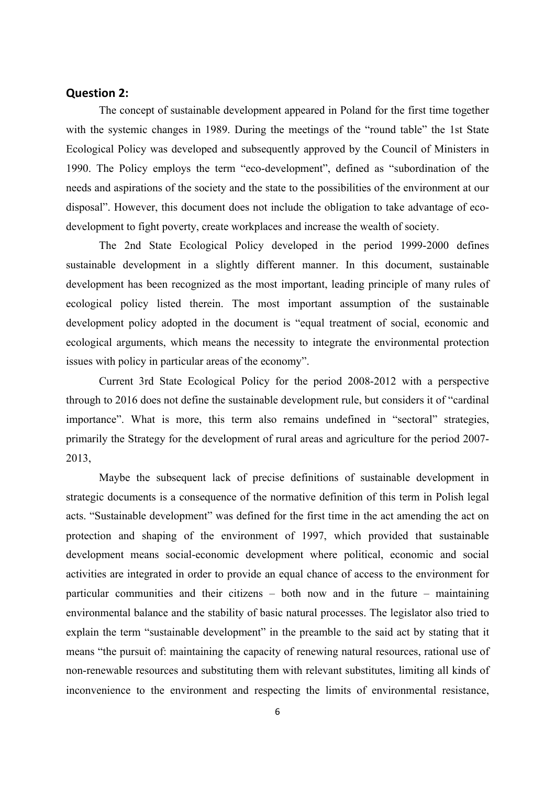### **Question 2:**

The concept of sustainable development appeared in Poland for the first time together with the systemic changes in 1989. During the meetings of the "round table" the 1st State Ecological Policy was developed and subsequently approved by the Council of Ministers in 1990. The Policy employs the term "eco-development", defined as "subordination of the needs and aspirations of the society and the state to the possibilities of the environment at our disposal". However, this document does not include the obligation to take advantage of ecodevelopment to fight poverty, create workplaces and increase the wealth of society.

The 2nd State Ecological Policy developed in the period 1999-2000 defines sustainable development in a slightly different manner. In this document, sustainable development has been recognized as the most important, leading principle of many rules of ecological policy listed therein. The most important assumption of the sustainable development policy adopted in the document is "equal treatment of social, economic and ecological arguments, which means the necessity to integrate the environmental protection issues with policy in particular areas of the economy".

Current 3rd State Ecological Policy for the period 2008-2012 with a perspective through to 2016 does not define the sustainable development rule, but considers it of "cardinal importance". What is more, this term also remains undefined in "sectoral" strategies, primarily the Strategy for the development of rural areas and agriculture for the period 2007- 2013,

Maybe the subsequent lack of precise definitions of sustainable development in strategic documents is a consequence of the normative definition of this term in Polish legal acts. "Sustainable development" was defined for the first time in the act amending the act on protection and shaping of the environment of 1997, which provided that sustainable development means social-economic development where political, economic and social activities are integrated in order to provide an equal chance of access to the environment for particular communities and their citizens – both now and in the future – maintaining environmental balance and the stability of basic natural processes. The legislator also tried to explain the term "sustainable development" in the preamble to the said act by stating that it means "the pursuit of: maintaining the capacity of renewing natural resources, rational use of non-renewable resources and substituting them with relevant substitutes, limiting all kinds of inconvenience to the environment and respecting the limits of environmental resistance,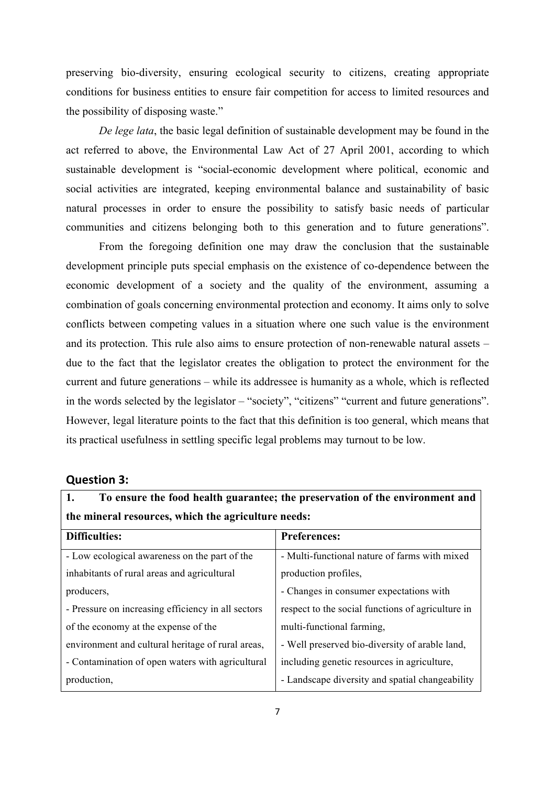preserving bio-diversity, ensuring ecological security to citizens, creating appropriate conditions for business entities to ensure fair competition for access to limited resources and the possibility of disposing waste."

*De lege lata*, the basic legal definition of sustainable development may be found in the act referred to above, the Environmental Law Act of 27 April 2001, according to which sustainable development is "social-economic development where political, economic and social activities are integrated, keeping environmental balance and sustainability of basic natural processes in order to ensure the possibility to satisfy basic needs of particular communities and citizens belonging both to this generation and to future generations".

From the foregoing definition one may draw the conclusion that the sustainable development principle puts special emphasis on the existence of co-dependence between the economic development of a society and the quality of the environment, assuming a combination of goals concerning environmental protection and economy. It aims only to solve conflicts between competing values in a situation where one such value is the environment and its protection. This rule also aims to ensure protection of non-renewable natural assets – due to the fact that the legislator creates the obligation to protect the environment for the current and future generations – while its addressee is humanity as a whole, which is reflected in the words selected by the legislator – "society", "citizens" "current and future generations". However, legal literature points to the fact that this definition is too general, which means that its practical usefulness in settling specific legal problems may turnout to be low.

### **Question 3:**

| To ensure the food health guarantee; the preservation of the environment and |
|------------------------------------------------------------------------------|
| the mineral resources, which the agriculture needs:                          |

| Difficulties:                                      | <b>Preferences:</b>                               |  |  |
|----------------------------------------------------|---------------------------------------------------|--|--|
| - Low ecological awareness on the part of the      | - Multi-functional nature of farms with mixed     |  |  |
| inhabitants of rural areas and agricultural        | production profiles,                              |  |  |
| producers,                                         | - Changes in consumer expectations with           |  |  |
| - Pressure on increasing efficiency in all sectors | respect to the social functions of agriculture in |  |  |
| of the economy at the expense of the               | multi-functional farming,                         |  |  |
| environment and cultural heritage of rural areas,  | - Well preserved bio-diversity of arable land,    |  |  |
| - Contamination of open waters with agricultural   | including genetic resources in agriculture,       |  |  |
| production,                                        | - Landscape diversity and spatial changeability   |  |  |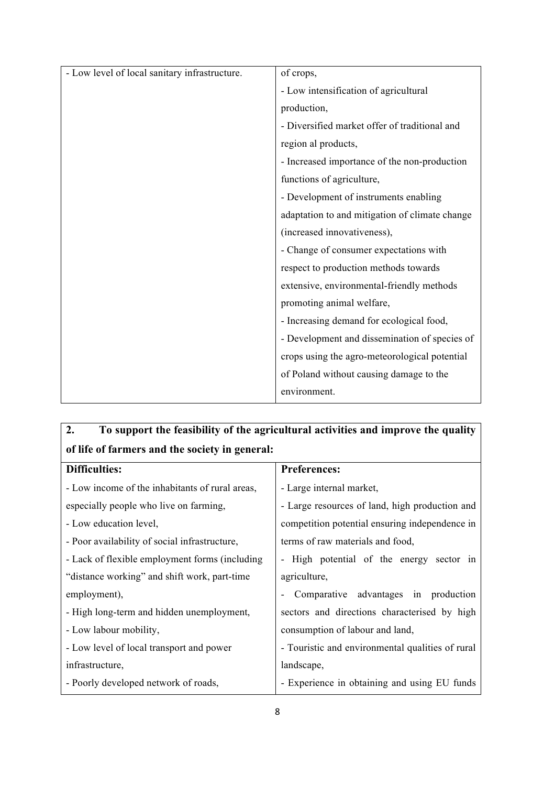| - Low level of local sanitary infrastructure. | of crops,                                      |  |
|-----------------------------------------------|------------------------------------------------|--|
|                                               | - Low intensification of agricultural          |  |
|                                               | production,                                    |  |
|                                               | - Diversified market offer of traditional and  |  |
|                                               | region al products,                            |  |
|                                               | - Increased importance of the non-production   |  |
|                                               | functions of agriculture,                      |  |
|                                               | - Development of instruments enabling          |  |
|                                               | adaptation to and mitigation of climate change |  |
|                                               | (increased innovativeness),                    |  |
|                                               | - Change of consumer expectations with         |  |
|                                               | respect to production methods towards          |  |
|                                               | extensive, environmental-friendly methods      |  |
|                                               | promoting animal welfare,                      |  |
|                                               | - Increasing demand for ecological food,       |  |
|                                               | - Development and dissemination of species of  |  |
|                                               | crops using the agro-meteorological potential  |  |
|                                               | of Poland without causing damage to the        |  |
|                                               | environment.                                   |  |

| To support the feasibility of the agricultural activities and improve the quality |
|-----------------------------------------------------------------------------------|
|                                                                                   |
| <b>Preferences:</b>                                                               |
| - Large internal market,                                                          |
| - Large resources of land, high production and                                    |
| competition potential ensuring independence in                                    |
| terms of raw materials and food,                                                  |
| High potential of the energy sector in                                            |
| agriculture,                                                                      |
| Comparative advantages in production                                              |
| sectors and directions characterised by high                                      |
| consumption of labour and land,                                                   |
| - Touristic and environmental qualities of rural                                  |
| landscape,                                                                        |
| - Experience in obtaining and using EU funds                                      |
|                                                                                   |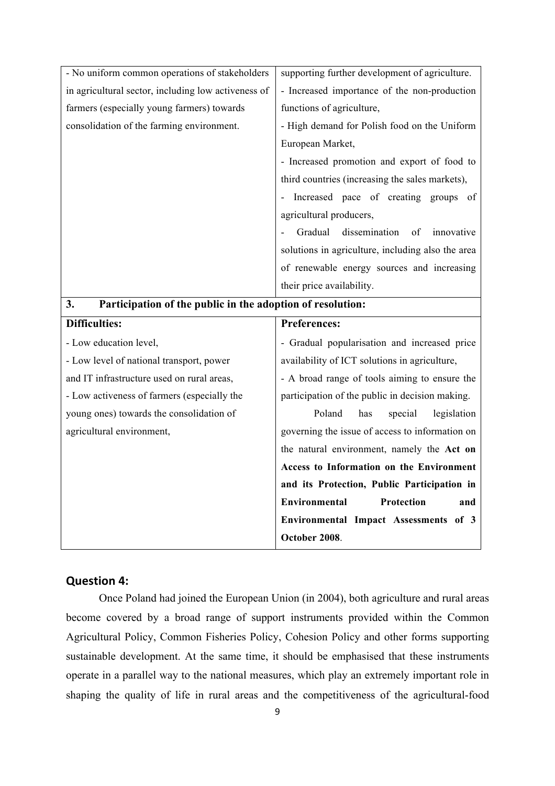| and IT infrastructure used on rural areas,<br>- Low activeness of farmers (especially the<br>young ones) towards the consolidation of<br>agricultural environment, | participation of the public in decision making.<br>Poland<br>has<br>legislation<br>special<br>governing the issue of access to information on<br>the natural environment, namely the Act on<br>Access to Information on the Environment<br>and its Protection, Public Participation in<br><b>Protection</b><br>Environmental<br>and |  |  |
|--------------------------------------------------------------------------------------------------------------------------------------------------------------------|-------------------------------------------------------------------------------------------------------------------------------------------------------------------------------------------------------------------------------------------------------------------------------------------------------------------------------------|--|--|
|                                                                                                                                                                    |                                                                                                                                                                                                                                                                                                                                     |  |  |
|                                                                                                                                                                    |                                                                                                                                                                                                                                                                                                                                     |  |  |
|                                                                                                                                                                    |                                                                                                                                                                                                                                                                                                                                     |  |  |
|                                                                                                                                                                    |                                                                                                                                                                                                                                                                                                                                     |  |  |
|                                                                                                                                                                    |                                                                                                                                                                                                                                                                                                                                     |  |  |
|                                                                                                                                                                    |                                                                                                                                                                                                                                                                                                                                     |  |  |
|                                                                                                                                                                    | - A broad range of tools aiming to ensure the                                                                                                                                                                                                                                                                                       |  |  |
| - Low level of national transport, power                                                                                                                           | availability of ICT solutions in agriculture,                                                                                                                                                                                                                                                                                       |  |  |
| - Low education level,                                                                                                                                             | - Gradual popularisation and increased price                                                                                                                                                                                                                                                                                        |  |  |
| <b>Difficulties:</b>                                                                                                                                               | <b>Preferences:</b>                                                                                                                                                                                                                                                                                                                 |  |  |
| Participation of the public in the adoption of resolution:<br>3.                                                                                                   |                                                                                                                                                                                                                                                                                                                                     |  |  |
|                                                                                                                                                                    | their price availability.                                                                                                                                                                                                                                                                                                           |  |  |
|                                                                                                                                                                    | of renewable energy sources and increasing                                                                                                                                                                                                                                                                                          |  |  |
|                                                                                                                                                                    | solutions in agriculture, including also the area                                                                                                                                                                                                                                                                                   |  |  |
|                                                                                                                                                                    | Gradual<br>dissemination<br>of<br>innovative                                                                                                                                                                                                                                                                                        |  |  |
|                                                                                                                                                                    | agricultural producers,                                                                                                                                                                                                                                                                                                             |  |  |
|                                                                                                                                                                    | Increased pace of creating groups of                                                                                                                                                                                                                                                                                                |  |  |
|                                                                                                                                                                    | third countries (increasing the sales markets),                                                                                                                                                                                                                                                                                     |  |  |
|                                                                                                                                                                    | - Increased promotion and export of food to                                                                                                                                                                                                                                                                                         |  |  |
|                                                                                                                                                                    | European Market,                                                                                                                                                                                                                                                                                                                    |  |  |
| consolidation of the farming environment.                                                                                                                          | - High demand for Polish food on the Uniform                                                                                                                                                                                                                                                                                        |  |  |
| farmers (especially young farmers) towards                                                                                                                         | functions of agriculture,                                                                                                                                                                                                                                                                                                           |  |  |
| in agricultural sector, including low activeness of                                                                                                                | - Increased importance of the non-production                                                                                                                                                                                                                                                                                        |  |  |
|                                                                                                                                                                    | supporting further development of agriculture.                                                                                                                                                                                                                                                                                      |  |  |

# **Question 4:**

Once Poland had joined the European Union (in 2004), both agriculture and rural areas become covered by a broad range of support instruments provided within the Common Agricultural Policy, Common Fisheries Policy, Cohesion Policy and other forms supporting sustainable development. At the same time, it should be emphasised that these instruments operate in a parallel way to the national measures, which play an extremely important role in shaping the quality of life in rural areas and the competitiveness of the agricultural-food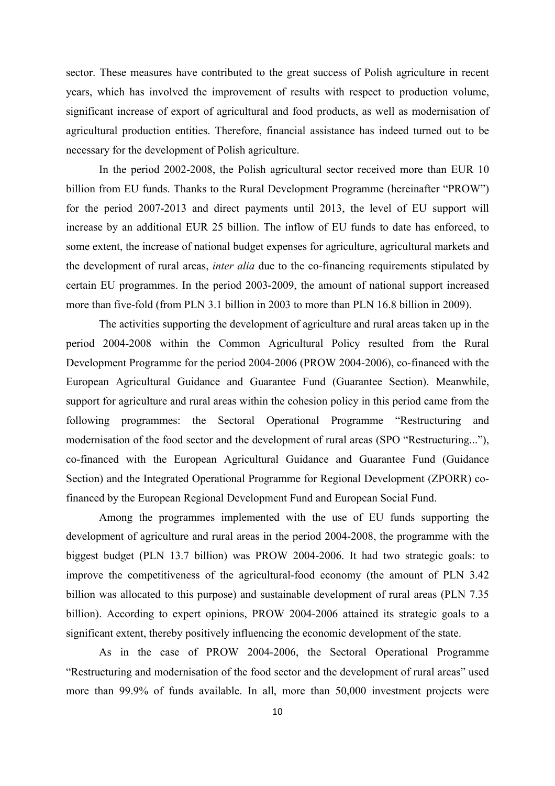sector. These measures have contributed to the great success of Polish agriculture in recent years, which has involved the improvement of results with respect to production volume, significant increase of export of agricultural and food products, as well as modernisation of agricultural production entities. Therefore, financial assistance has indeed turned out to be necessary for the development of Polish agriculture.

In the period 2002-2008, the Polish agricultural sector received more than EUR 10 billion from EU funds. Thanks to the Rural Development Programme (hereinafter "PROW") for the period 2007-2013 and direct payments until 2013, the level of EU support will increase by an additional EUR 25 billion. The inflow of EU funds to date has enforced, to some extent, the increase of national budget expenses for agriculture, agricultural markets and the development of rural areas, *inter alia* due to the co-financing requirements stipulated by certain EU programmes. In the period 2003-2009, the amount of national support increased more than five-fold (from PLN 3.1 billion in 2003 to more than PLN 16.8 billion in 2009).

The activities supporting the development of agriculture and rural areas taken up in the period 2004-2008 within the Common Agricultural Policy resulted from the Rural Development Programme for the period 2004-2006 (PROW 2004-2006), co-financed with the European Agricultural Guidance and Guarantee Fund (Guarantee Section). Meanwhile, support for agriculture and rural areas within the cohesion policy in this period came from the following programmes: the Sectoral Operational Programme "Restructuring and modernisation of the food sector and the development of rural areas (SPO "Restructuring..."), co-financed with the European Agricultural Guidance and Guarantee Fund (Guidance Section) and the Integrated Operational Programme for Regional Development (ZPORR) cofinanced by the European Regional Development Fund and European Social Fund.

Among the programmes implemented with the use of EU funds supporting the development of agriculture and rural areas in the period 2004-2008, the programme with the biggest budget (PLN 13.7 billion) was PROW 2004-2006. It had two strategic goals: to improve the competitiveness of the agricultural-food economy (the amount of PLN 3.42 billion was allocated to this purpose) and sustainable development of rural areas (PLN 7.35 billion). According to expert opinions, PROW 2004-2006 attained its strategic goals to a significant extent, thereby positively influencing the economic development of the state.

As in the case of PROW 2004-2006, the Sectoral Operational Programme "Restructuring and modernisation of the food sector and the development of rural areas" used more than 99.9% of funds available. In all, more than 50,000 investment projects were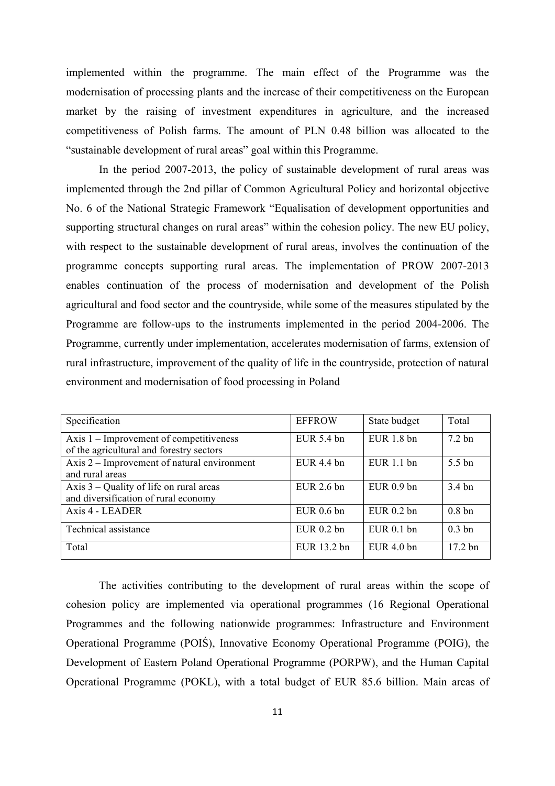implemented within the programme. The main effect of the Programme was the modernisation of processing plants and the increase of their competitiveness on the European market by the raising of investment expenditures in agriculture, and the increased competitiveness of Polish farms. The amount of PLN 0.48 billion was allocated to the "sustainable development of rural areas" goal within this Programme.

In the period 2007-2013, the policy of sustainable development of rural areas was implemented through the 2nd pillar of Common Agricultural Policy and horizontal objective No. 6 of the National Strategic Framework "Equalisation of development opportunities and supporting structural changes on rural areas" within the cohesion policy. The new EU policy, with respect to the sustainable development of rural areas, involves the continuation of the programme concepts supporting rural areas. The implementation of PROW 2007-2013 enables continuation of the process of modernisation and development of the Polish agricultural and food sector and the countryside, while some of the measures stipulated by the Programme are follow-ups to the instruments implemented in the period 2004-2006. The Programme, currently under implementation, accelerates modernisation of farms, extension of rural infrastructure, improvement of the quality of life in the countryside, protection of natural environment and modernisation of food processing in Poland

| Specification                               | <b>EFFROW</b> | State budget | Total             |
|---------------------------------------------|---------------|--------------|-------------------|
| Axis $1$ – Improvement of competitiveness   | EUR 5.4 bn    | $EUR$ 1.8 bn | $7.2 \text{ bn}$  |
| of the agricultural and forestry sectors    |               |              |                   |
| Axis 2 – Improvement of natural environment | $EUR$ 4.4 bn  | EUR 1.1 bn   | 5.5 bn            |
| and rural areas                             |               |              |                   |
| Axis $3$ – Quality of life on rural areas   | EUR 2.6 bn    | $EUR$ 0.9 bn | $3.4 \text{ bn}$  |
| and diversification of rural economy        |               |              |                   |
| Axis 4 - LEADER                             | $EUR$ 0.6 bn  | $EUR$ 0.2 bn | 0.8 <sub>bn</sub> |
| Technical assistance                        | $EUR$ 0.2 bn  | $EUR$ 0.1 bn | $0.3 \text{ bn}$  |
| Total                                       | EUR 13.2 bn   | EUR $4.0$ bn | $17.2 \text{ bn}$ |

The activities contributing to the development of rural areas within the scope of cohesion policy are implemented via operational programmes (16 Regional Operational Programmes and the following nationwide programmes: Infrastructure and Environment Operational Programme (POIŚ), Innovative Economy Operational Programme (POIG), the Development of Eastern Poland Operational Programme (PORPW), and the Human Capital Operational Programme (POKL), with a total budget of EUR 85.6 billion. Main areas of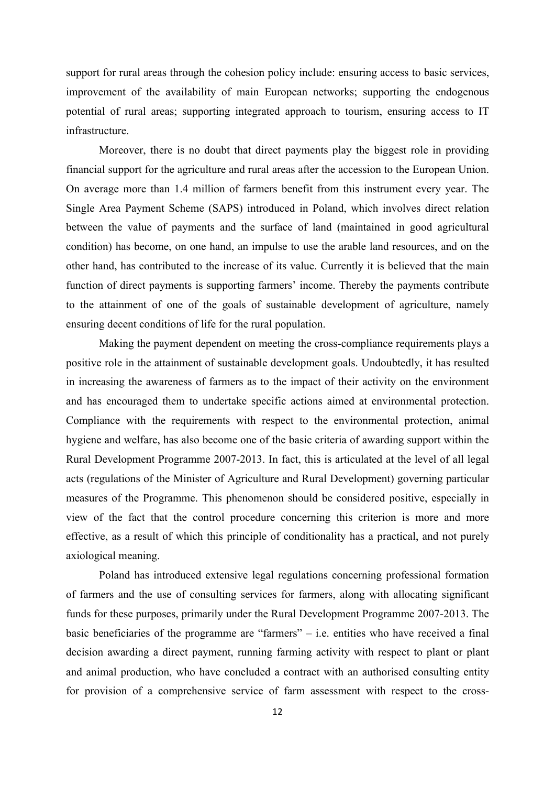support for rural areas through the cohesion policy include: ensuring access to basic services, improvement of the availability of main European networks; supporting the endogenous potential of rural areas; supporting integrated approach to tourism, ensuring access to IT infrastructure.

Moreover, there is no doubt that direct payments play the biggest role in providing financial support for the agriculture and rural areas after the accession to the European Union. On average more than 1.4 million of farmers benefit from this instrument every year. The Single Area Payment Scheme (SAPS) introduced in Poland, which involves direct relation between the value of payments and the surface of land (maintained in good agricultural condition) has become, on one hand, an impulse to use the arable land resources, and on the other hand, has contributed to the increase of its value. Currently it is believed that the main function of direct payments is supporting farmers' income. Thereby the payments contribute to the attainment of one of the goals of sustainable development of agriculture, namely ensuring decent conditions of life for the rural population.

Making the payment dependent on meeting the cross-compliance requirements plays a positive role in the attainment of sustainable development goals. Undoubtedly, it has resulted in increasing the awareness of farmers as to the impact of their activity on the environment and has encouraged them to undertake specific actions aimed at environmental protection. Compliance with the requirements with respect to the environmental protection, animal hygiene and welfare, has also become one of the basic criteria of awarding support within the Rural Development Programme 2007-2013. In fact, this is articulated at the level of all legal acts (regulations of the Minister of Agriculture and Rural Development) governing particular measures of the Programme. This phenomenon should be considered positive, especially in view of the fact that the control procedure concerning this criterion is more and more effective, as a result of which this principle of conditionality has a practical, and not purely axiological meaning.

Poland has introduced extensive legal regulations concerning professional formation of farmers and the use of consulting services for farmers, along with allocating significant funds for these purposes, primarily under the Rural Development Programme 2007-2013. The basic beneficiaries of the programme are "farmers" – i.e. entities who have received a final decision awarding a direct payment, running farming activity with respect to plant or plant and animal production, who have concluded a contract with an authorised consulting entity for provision of a comprehensive service of farm assessment with respect to the cross-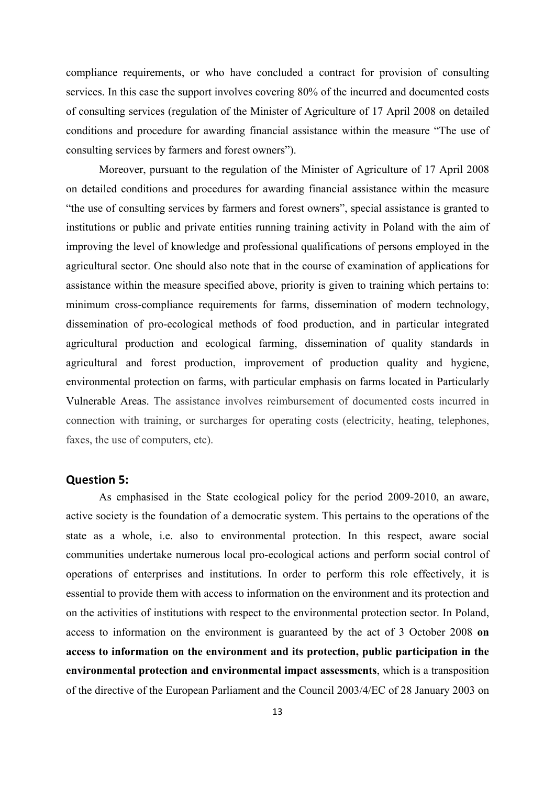compliance requirements, or who have concluded a contract for provision of consulting services. In this case the support involves covering 80% of the incurred and documented costs of consulting services (regulation of the Minister of Agriculture of 17 April 2008 on detailed conditions and procedure for awarding financial assistance within the measure "The use of consulting services by farmers and forest owners").

Moreover, pursuant to the regulation of the Minister of Agriculture of 17 April 2008 on detailed conditions and procedures for awarding financial assistance within the measure "the use of consulting services by farmers and forest owners", special assistance is granted to institutions or public and private entities running training activity in Poland with the aim of improving the level of knowledge and professional qualifications of persons employed in the agricultural sector. One should also note that in the course of examination of applications for assistance within the measure specified above, priority is given to training which pertains to: minimum cross-compliance requirements for farms, dissemination of modern technology, dissemination of pro-ecological methods of food production, and in particular integrated agricultural production and ecological farming, dissemination of quality standards in agricultural and forest production, improvement of production quality and hygiene, environmental protection on farms, with particular emphasis on farms located in Particularly Vulnerable Areas. The assistance involves reimbursement of documented costs incurred in connection with training, or surcharges for operating costs (electricity, heating, telephones, faxes, the use of computers, etc).

### **Question 5:**

As emphasised in the State ecological policy for the period 2009-2010, an aware, active society is the foundation of a democratic system. This pertains to the operations of the state as a whole, i.e. also to environmental protection. In this respect, aware social communities undertake numerous local pro-ecological actions and perform social control of operations of enterprises and institutions. In order to perform this role effectively, it is essential to provide them with access to information on the environment and its protection and on the activities of institutions with respect to the environmental protection sector. In Poland, access to information on the environment is guaranteed by the act of 3 October 2008 **on access to information on the environment and its protection, public participation in the environmental protection and environmental impact assessments**, which is a transposition of the directive of the European Parliament and the Council 2003/4/EC of 28 January 2003 on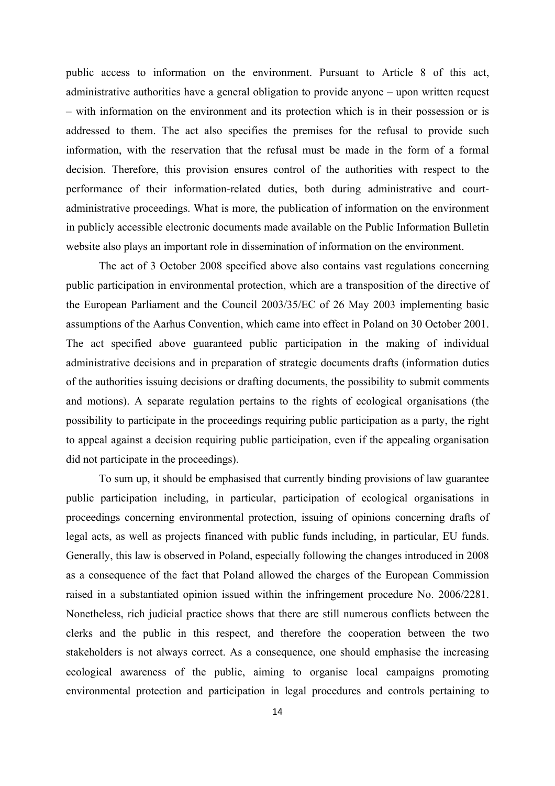public access to information on the environment. Pursuant to Article 8 of this act, administrative authorities have a general obligation to provide anyone – upon written request – with information on the environment and its protection which is in their possession or is addressed to them. The act also specifies the premises for the refusal to provide such information, with the reservation that the refusal must be made in the form of a formal decision. Therefore, this provision ensures control of the authorities with respect to the performance of their information-related duties, both during administrative and courtadministrative proceedings. What is more, the publication of information on the environment in publicly accessible electronic documents made available on the Public Information Bulletin website also plays an important role in dissemination of information on the environment.

The act of 3 October 2008 specified above also contains vast regulations concerning public participation in environmental protection, which are a transposition of the directive of the European Parliament and the Council 2003/35/EC of 26 May 2003 implementing basic assumptions of the Aarhus Convention, which came into effect in Poland on 30 October 2001. The act specified above guaranteed public participation in the making of individual administrative decisions and in preparation of strategic documents drafts (information duties of the authorities issuing decisions or drafting documents, the possibility to submit comments and motions). A separate regulation pertains to the rights of ecological organisations (the possibility to participate in the proceedings requiring public participation as a party, the right to appeal against a decision requiring public participation, even if the appealing organisation did not participate in the proceedings).

To sum up, it should be emphasised that currently binding provisions of law guarantee public participation including, in particular, participation of ecological organisations in proceedings concerning environmental protection, issuing of opinions concerning drafts of legal acts, as well as projects financed with public funds including, in particular, EU funds. Generally, this law is observed in Poland, especially following the changes introduced in 2008 as a consequence of the fact that Poland allowed the charges of the European Commission raised in a substantiated opinion issued within the infringement procedure No. 2006/2281. Nonetheless, rich judicial practice shows that there are still numerous conflicts between the clerks and the public in this respect, and therefore the cooperation between the two stakeholders is not always correct. As a consequence, one should emphasise the increasing ecological awareness of the public, aiming to organise local campaigns promoting environmental protection and participation in legal procedures and controls pertaining to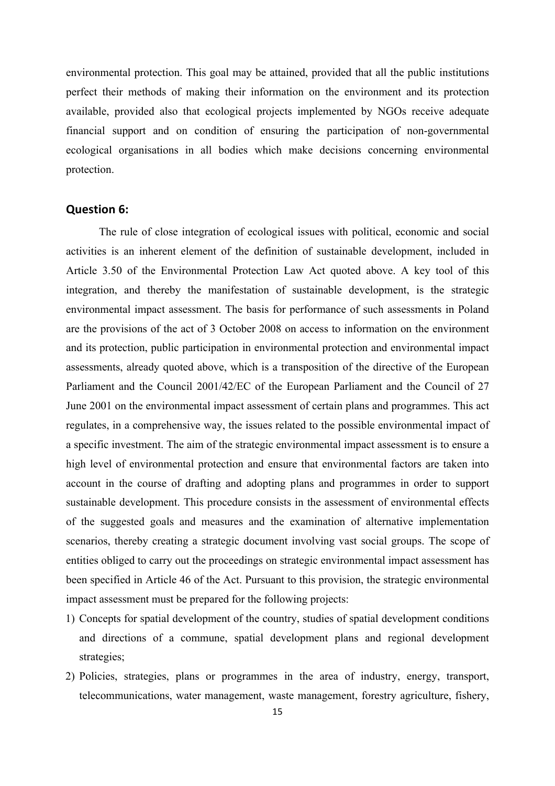environmental protection. This goal may be attained, provided that all the public institutions perfect their methods of making their information on the environment and its protection available, provided also that ecological projects implemented by NGOs receive adequate financial support and on condition of ensuring the participation of non-governmental ecological organisations in all bodies which make decisions concerning environmental protection.

### **Question 6:**

The rule of close integration of ecological issues with political, economic and social activities is an inherent element of the definition of sustainable development, included in Article 3.50 of the Environmental Protection Law Act quoted above. A key tool of this integration, and thereby the manifestation of sustainable development, is the strategic environmental impact assessment. The basis for performance of such assessments in Poland are the provisions of the act of 3 October 2008 on access to information on the environment and its protection, public participation in environmental protection and environmental impact assessments, already quoted above, which is a transposition of the directive of the European Parliament and the Council 2001/42/EC of the European Parliament and the Council of 27 June 2001 on the environmental impact assessment of certain plans and programmes. This act regulates, in a comprehensive way, the issues related to the possible environmental impact of a specific investment. The aim of the strategic environmental impact assessment is to ensure a high level of environmental protection and ensure that environmental factors are taken into account in the course of drafting and adopting plans and programmes in order to support sustainable development. This procedure consists in the assessment of environmental effects of the suggested goals and measures and the examination of alternative implementation scenarios, thereby creating a strategic document involving vast social groups. The scope of entities obliged to carry out the proceedings on strategic environmental impact assessment has been specified in Article 46 of the Act. Pursuant to this provision, the strategic environmental impact assessment must be prepared for the following projects:

- 1) Concepts for spatial development of the country, studies of spatial development conditions and directions of a commune, spatial development plans and regional development strategies;
- 2) Policies, strategies, plans or programmes in the area of industry, energy, transport, telecommunications, water management, waste management, forestry agriculture, fishery,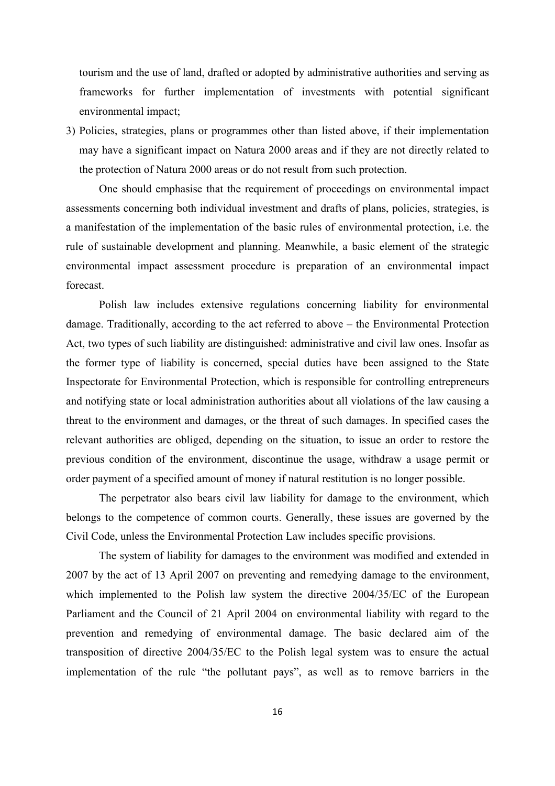tourism and the use of land, drafted or adopted by administrative authorities and serving as frameworks for further implementation of investments with potential significant environmental impact;

3) Policies, strategies, plans or programmes other than listed above, if their implementation may have a significant impact on Natura 2000 areas and if they are not directly related to the protection of Natura 2000 areas or do not result from such protection.

One should emphasise that the requirement of proceedings on environmental impact assessments concerning both individual investment and drafts of plans, policies, strategies, is a manifestation of the implementation of the basic rules of environmental protection, i.e. the rule of sustainable development and planning. Meanwhile, a basic element of the strategic environmental impact assessment procedure is preparation of an environmental impact forecast.

Polish law includes extensive regulations concerning liability for environmental damage. Traditionally, according to the act referred to above – the Environmental Protection Act, two types of such liability are distinguished: administrative and civil law ones. Insofar as the former type of liability is concerned, special duties have been assigned to the State Inspectorate for Environmental Protection, which is responsible for controlling entrepreneurs and notifying state or local administration authorities about all violations of the law causing a threat to the environment and damages, or the threat of such damages. In specified cases the relevant authorities are obliged, depending on the situation, to issue an order to restore the previous condition of the environment, discontinue the usage, withdraw a usage permit or order payment of a specified amount of money if natural restitution is no longer possible.

The perpetrator also bears civil law liability for damage to the environment, which belongs to the competence of common courts. Generally, these issues are governed by the Civil Code, unless the Environmental Protection Law includes specific provisions.

The system of liability for damages to the environment was modified and extended in 2007 by the act of 13 April 2007 on preventing and remedying damage to the environment, which implemented to the Polish law system the directive 2004/35/EC of the European Parliament and the Council of 21 April 2004 on environmental liability with regard to the prevention and remedying of environmental damage. The basic declared aim of the transposition of directive 2004/35/EC to the Polish legal system was to ensure the actual implementation of the rule "the pollutant pays", as well as to remove barriers in the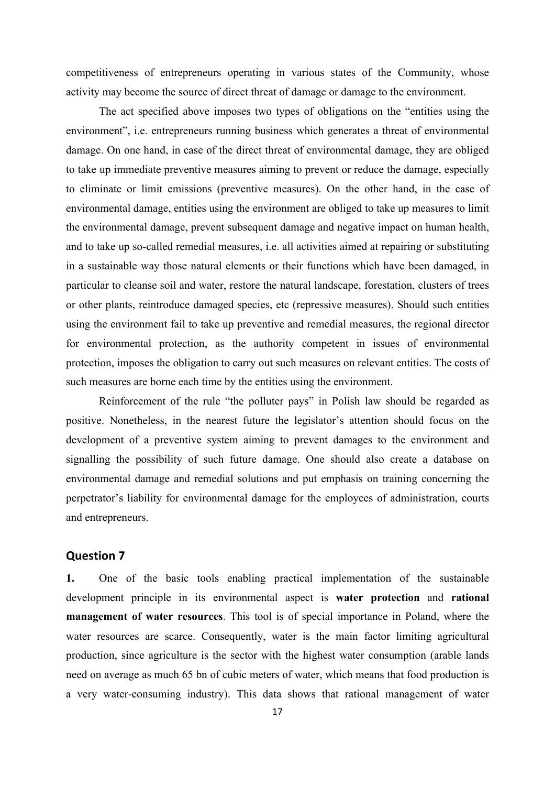competitiveness of entrepreneurs operating in various states of the Community, whose activity may become the source of direct threat of damage or damage to the environment.

The act specified above imposes two types of obligations on the "entities using the environment", i.e. entrepreneurs running business which generates a threat of environmental damage. On one hand, in case of the direct threat of environmental damage, they are obliged to take up immediate preventive measures aiming to prevent or reduce the damage, especially to eliminate or limit emissions (preventive measures). On the other hand, in the case of environmental damage, entities using the environment are obliged to take up measures to limit the environmental damage, prevent subsequent damage and negative impact on human health, and to take up so-called remedial measures, i.e. all activities aimed at repairing or substituting in a sustainable way those natural elements or their functions which have been damaged, in particular to cleanse soil and water, restore the natural landscape, forestation, clusters of trees or other plants, reintroduce damaged species, etc (repressive measures). Should such entities using the environment fail to take up preventive and remedial measures, the regional director for environmental protection, as the authority competent in issues of environmental protection, imposes the obligation to carry out such measures on relevant entities. The costs of such measures are borne each time by the entities using the environment.

Reinforcement of the rule "the polluter pays" in Polish law should be regarded as positive. Nonetheless, in the nearest future the legislator's attention should focus on the development of a preventive system aiming to prevent damages to the environment and signalling the possibility of such future damage. One should also create a database on environmental damage and remedial solutions and put emphasis on training concerning the perpetrator's liability for environmental damage for the employees of administration, courts and entrepreneurs.

### **Question 7**

**1.** One of the basic tools enabling practical implementation of the sustainable development principle in its environmental aspect is **water protection** and **rational management of water resources**. This tool is of special importance in Poland, where the water resources are scarce. Consequently, water is the main factor limiting agricultural production, since agriculture is the sector with the highest water consumption (arable lands need on average as much 65 bn of cubic meters of water, which means that food production is a very water-consuming industry). This data shows that rational management of water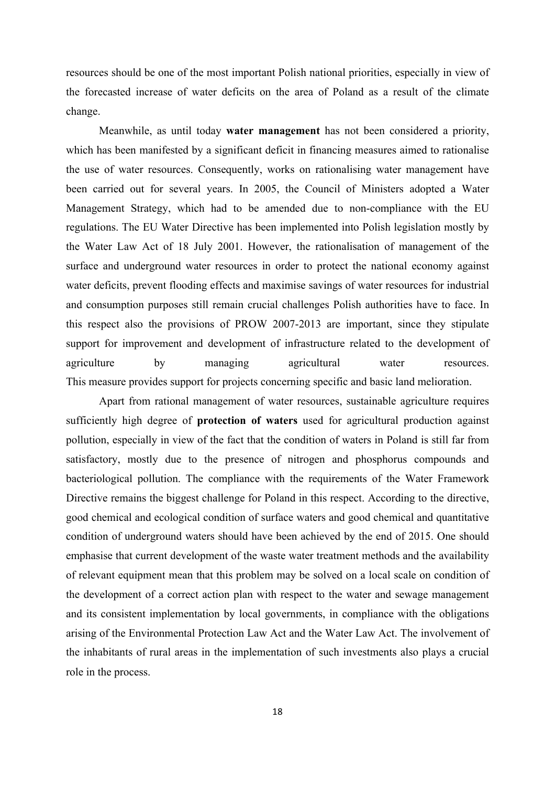resources should be one of the most important Polish national priorities, especially in view of the forecasted increase of water deficits on the area of Poland as a result of the climate change.

Meanwhile, as until today **water management** has not been considered a priority, which has been manifested by a significant deficit in financing measures aimed to rationalise the use of water resources. Consequently, works on rationalising water management have been carried out for several years. In 2005, the Council of Ministers adopted a Water Management Strategy, which had to be amended due to non-compliance with the EU regulations. The EU Water Directive has been implemented into Polish legislation mostly by the Water Law Act of 18 July 2001. However, the rationalisation of management of the surface and underground water resources in order to protect the national economy against water deficits, prevent flooding effects and maximise savings of water resources for industrial and consumption purposes still remain crucial challenges Polish authorities have to face. In this respect also the provisions of PROW 2007-2013 are important, since they stipulate support for improvement and development of infrastructure related to the development of agriculture by managing agricultural water resources. This measure provides support for projects concerning specific and basic land melioration.

Apart from rational management of water resources, sustainable agriculture requires sufficiently high degree of **protection of waters** used for agricultural production against pollution, especially in view of the fact that the condition of waters in Poland is still far from satisfactory, mostly due to the presence of nitrogen and phosphorus compounds and bacteriological pollution. The compliance with the requirements of the Water Framework Directive remains the biggest challenge for Poland in this respect. According to the directive, good chemical and ecological condition of surface waters and good chemical and quantitative condition of underground waters should have been achieved by the end of 2015. One should emphasise that current development of the waste water treatment methods and the availability of relevant equipment mean that this problem may be solved on a local scale on condition of the development of a correct action plan with respect to the water and sewage management and its consistent implementation by local governments, in compliance with the obligations arising of the Environmental Protection Law Act and the Water Law Act. The involvement of the inhabitants of rural areas in the implementation of such investments also plays a crucial role in the process.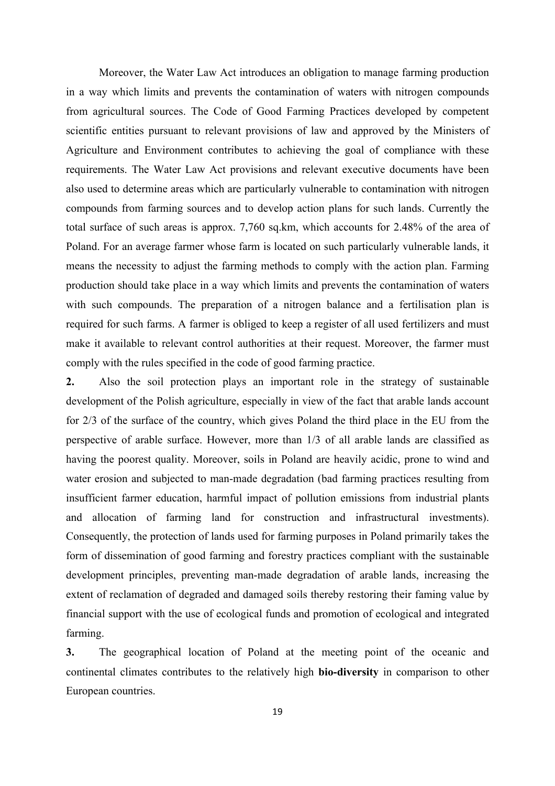Moreover, the Water Law Act introduces an obligation to manage farming production in a way which limits and prevents the contamination of waters with nitrogen compounds from agricultural sources. The Code of Good Farming Practices developed by competent scientific entities pursuant to relevant provisions of law and approved by the Ministers of Agriculture and Environment contributes to achieving the goal of compliance with these requirements. The Water Law Act provisions and relevant executive documents have been also used to determine areas which are particularly vulnerable to contamination with nitrogen compounds from farming sources and to develop action plans for such lands. Currently the total surface of such areas is approx. 7,760 sq.km, which accounts for 2.48% of the area of Poland. For an average farmer whose farm is located on such particularly vulnerable lands, it means the necessity to adjust the farming methods to comply with the action plan. Farming production should take place in a way which limits and prevents the contamination of waters with such compounds. The preparation of a nitrogen balance and a fertilisation plan is required for such farms. A farmer is obliged to keep a register of all used fertilizers and must make it available to relevant control authorities at their request. Moreover, the farmer must comply with the rules specified in the code of good farming practice.

**2.** Also the soil protection plays an important role in the strategy of sustainable development of the Polish agriculture, especially in view of the fact that arable lands account for 2/3 of the surface of the country, which gives Poland the third place in the EU from the perspective of arable surface. However, more than 1/3 of all arable lands are classified as having the poorest quality. Moreover, soils in Poland are heavily acidic, prone to wind and water erosion and subjected to man-made degradation (bad farming practices resulting from insufficient farmer education, harmful impact of pollution emissions from industrial plants and allocation of farming land for construction and infrastructural investments). Consequently, the protection of lands used for farming purposes in Poland primarily takes the form of dissemination of good farming and forestry practices compliant with the sustainable development principles, preventing man-made degradation of arable lands, increasing the extent of reclamation of degraded and damaged soils thereby restoring their faming value by financial support with the use of ecological funds and promotion of ecological and integrated farming.

**3.** The geographical location of Poland at the meeting point of the oceanic and continental climates contributes to the relatively high **bio-diversity** in comparison to other European countries.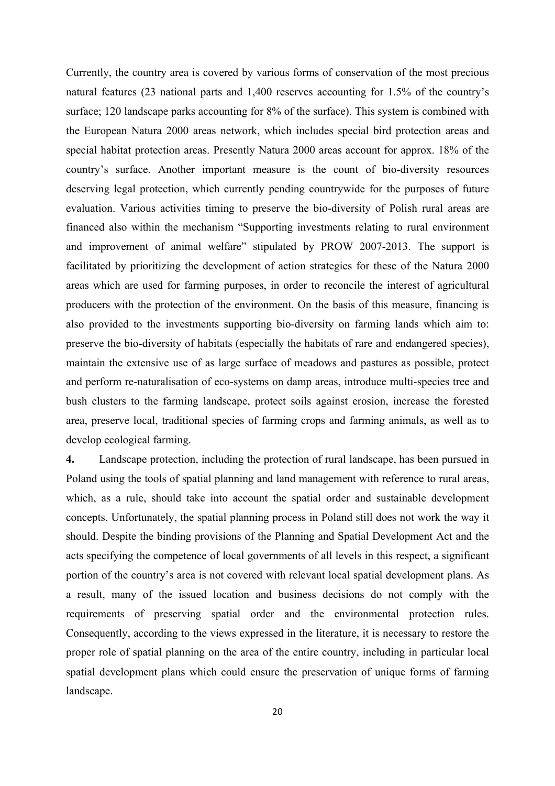Currently, the country area is covered by various forms of conservation of the most precious natural features (23 national parts and 1,400 reserves accounting for 1.5% of the country's surface; 120 landscape parks accounting for 8% of the surface). This system is combined with the European Natura 2000 areas network, which includes special bird protection areas and special habitat protection areas. Presently Natura 2000 areas account for approx. 18% of the country's surface. Another important measure is the count of bio-diversity resources deserving legal protection, which currently pending countrywide for the purposes of future evaluation. Various activities timing to preserve the bio-diversity of Polish rural areas are financed also within the mechanism "Supporting investments relating to rural environment and improvement of animal welfare" stipulated by PROW 2007-2013. The support is facilitated by prioritizing the development of action strategies for these of the Natura 2000 areas which are used for farming purposes, in order to reconcile the interest of agricultural producers with the protection of the environment. On the basis of this measure, financing is also provided to the investments supporting bio-diversity on farming lands which aim to: preserve the bio-diversity of habitats (especially the habitats of rare and endangered species), maintain the extensive use of as large surface of meadows and pastures as possible, protect and perform re-naturalisation of eco-systems on damp areas, introduce multi-species tree and bush clusters to the farming landscape, protect soils against erosion, increase the forested area, preserve local, traditional species of farming crops and farming animals, as well as to develop ecological farming.

**4.** Landscape protection, including the protection of rural landscape, has been pursued in Poland using the tools of spatial planning and land management with reference to rural areas, which, as a rule, should take into account the spatial order and sustainable development concepts. Unfortunately, the spatial planning process in Poland still does not work the way it should. Despite the binding provisions of the Planning and Spatial Development Act and the acts specifying the competence of local governments of all levels in this respect, a significant portion of the country's area is not covered with relevant local spatial development plans. As a result, many of the issued location and business decisions do not comply with the requirements of preserving spatial order and the environmental protection rules. Consequently, according to the views expressed in the literature, it is necessary to restore the proper role of spatial planning on the area of the entire country, including in particular local spatial development plans which could ensure the preservation of unique forms of farming landscape.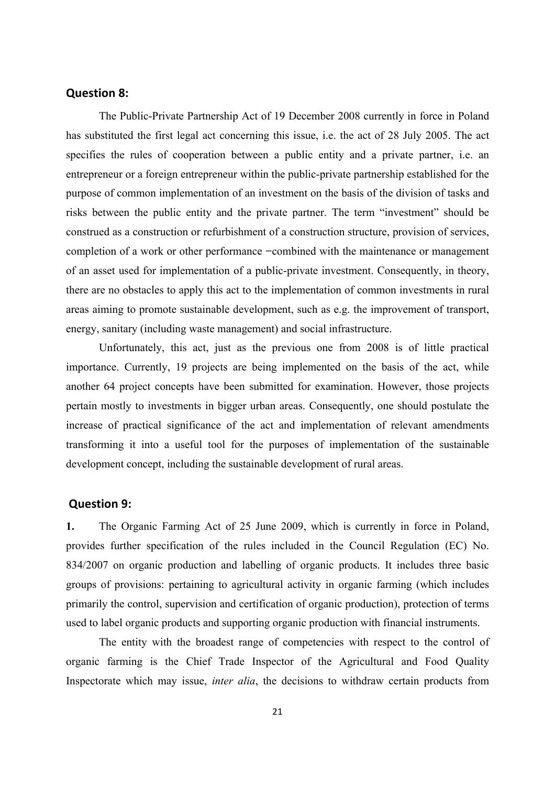### **Question 8:**

The Public-Private Partnership Act of 19 December 2008 currently in force in Poland has substituted the first legal act concerning this issue, i.e. the act of 28 July 2005. The act specifies the rules of cooperation between a public entity and a private partner, i.e. an entrepreneur or a foreign entrepreneur within the public-private partnership established for the purpose of common implementation of an investment on the basis of the division of tasks and risks between the public entity and the private partner. The term "investment" should be construed as a construction or refurbishment of a construction structure, provision of services, completion of a work or other performance –combined with the maintenance or management of an asset used for implementation of a public-private investment. Consequently, in theory, there are no obstacles to apply this act to the implementation of common investments in rural areas aiming to promote sustainable development, such as e.g. the improvement of transport, energy, sanitary (including waste management) and social infrastructure.

Unfortunately, this act, just as the previous one from 2008 is of little practical importance. Currently, 19 projects are being implemented on the basis of the act, while another 64 project concepts have been submitted for examination. However, those projects pertain mostly to investments in bigger urban areas. Consequently, one should postulate the increase of practical significance of the act and implementation of relevant amendments transforming it into a useful tool for the purposes of implementation of the sustainable development concept, including the sustainable development of rural areas.

### **Question 9:**

**1.** The Organic Farming Act of 25 June 2009, which is currently in force in Poland, provides further specification of the rules included in the Council Regulation (EC) No. 834/2007 on organic production and labelling of organic products. It includes three basic groups of provisions: pertaining to agricultural activity in organic farming (which includes primarily the control, supervision and certification of organic production), protection of terms used to label organic products and supporting organic production with financial instruments.

The entity with the broadest range of competencies with respect to the control of organic farming is the Chief Trade Inspector of the Agricultural and Food Quality Inspectorate which may issue, *inter alia*, the decisions to withdraw certain products from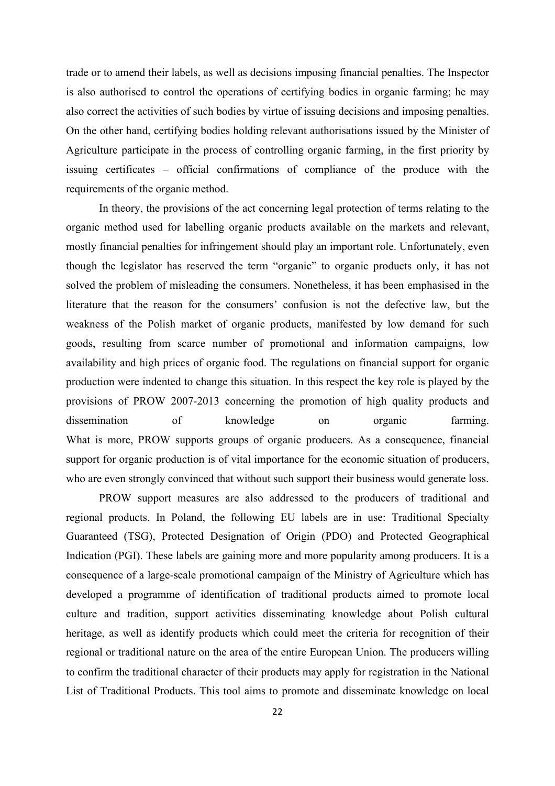trade or to amend their labels, as well as decisions imposing financial penalties. The Inspector is also authorised to control the operations of certifying bodies in organic farming; he may also correct the activities of such bodies by virtue of issuing decisions and imposing penalties. On the other hand, certifying bodies holding relevant authorisations issued by the Minister of Agriculture participate in the process of controlling organic farming, in the first priority by issuing certificates – official confirmations of compliance of the produce with the requirements of the organic method.

In theory, the provisions of the act concerning legal protection of terms relating to the organic method used for labelling organic products available on the markets and relevant, mostly financial penalties for infringement should play an important role. Unfortunately, even though the legislator has reserved the term "organic" to organic products only, it has not solved the problem of misleading the consumers. Nonetheless, it has been emphasised in the literature that the reason for the consumers' confusion is not the defective law, but the weakness of the Polish market of organic products, manifested by low demand for such goods, resulting from scarce number of promotional and information campaigns, low availability and high prices of organic food. The regulations on financial support for organic production were indented to change this situation. In this respect the key role is played by the provisions of PROW 2007-2013 concerning the promotion of high quality products and dissemination of knowledge on organic farming. What is more, PROW supports groups of organic producers. As a consequence, financial support for organic production is of vital importance for the economic situation of producers, who are even strongly convinced that without such support their business would generate loss.

PROW support measures are also addressed to the producers of traditional and regional products. In Poland, the following EU labels are in use: Traditional Specialty Guaranteed (TSG), Protected Designation of Origin (PDO) and Protected Geographical Indication (PGI). These labels are gaining more and more popularity among producers. It is a consequence of a large-scale promotional campaign of the Ministry of Agriculture which has developed a programme of identification of traditional products aimed to promote local culture and tradition, support activities disseminating knowledge about Polish cultural heritage, as well as identify products which could meet the criteria for recognition of their regional or traditional nature on the area of the entire European Union. The producers willing to confirm the traditional character of their products may apply for registration in the National List of Traditional Products. This tool aims to promote and disseminate knowledge on local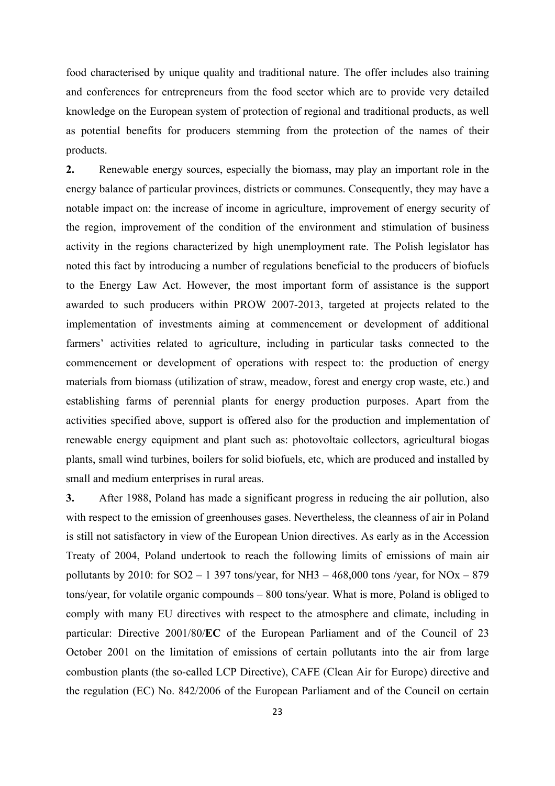food characterised by unique quality and traditional nature. The offer includes also training and conferences for entrepreneurs from the food sector which are to provide very detailed knowledge on the European system of protection of regional and traditional products, as well as potential benefits for producers stemming from the protection of the names of their products.

**2.** Renewable energy sources, especially the biomass, may play an important role in the energy balance of particular provinces, districts or communes. Consequently, they may have a notable impact on: the increase of income in agriculture, improvement of energy security of the region, improvement of the condition of the environment and stimulation of business activity in the regions characterized by high unemployment rate. The Polish legislator has noted this fact by introducing a number of regulations beneficial to the producers of biofuels to the Energy Law Act. However, the most important form of assistance is the support awarded to such producers within PROW 2007-2013, targeted at projects related to the implementation of investments aiming at commencement or development of additional farmers' activities related to agriculture, including in particular tasks connected to the commencement or development of operations with respect to: the production of energy materials from biomass (utilization of straw, meadow, forest and energy crop waste, etc.) and establishing farms of perennial plants for energy production purposes. Apart from the activities specified above, support is offered also for the production and implementation of renewable energy equipment and plant such as: photovoltaic collectors, agricultural biogas plants, small wind turbines, boilers for solid biofuels, etc, which are produced and installed by small and medium enterprises in rural areas.

**3.** After 1988, Poland has made a significant progress in reducing the air pollution, also with respect to the emission of greenhouses gases. Nevertheless, the cleanness of air in Poland is still not satisfactory in view of the European Union directives. As early as in the Accession Treaty of 2004, Poland undertook to reach the following limits of emissions of main air pollutants by 2010: for  $SO2 - 1$  397 tons/year, for NH3 – 468,000 tons /year, for NOx – 879 tons/year, for volatile organic compounds – 800 tons/year. What is more, Poland is obliged to comply with many EU directives with respect to the atmosphere and climate, including in particular: Directive 2001/80/**EC** of the European Parliament and of the Council of 23 October 2001 on the limitation of emissions of certain pollutants into the air from large combustion plants (the so-called LCP Directive), CAFE (Clean Air for Europe) directive and the regulation (EC) No. 842/2006 of the European Parliament and of the Council on certain